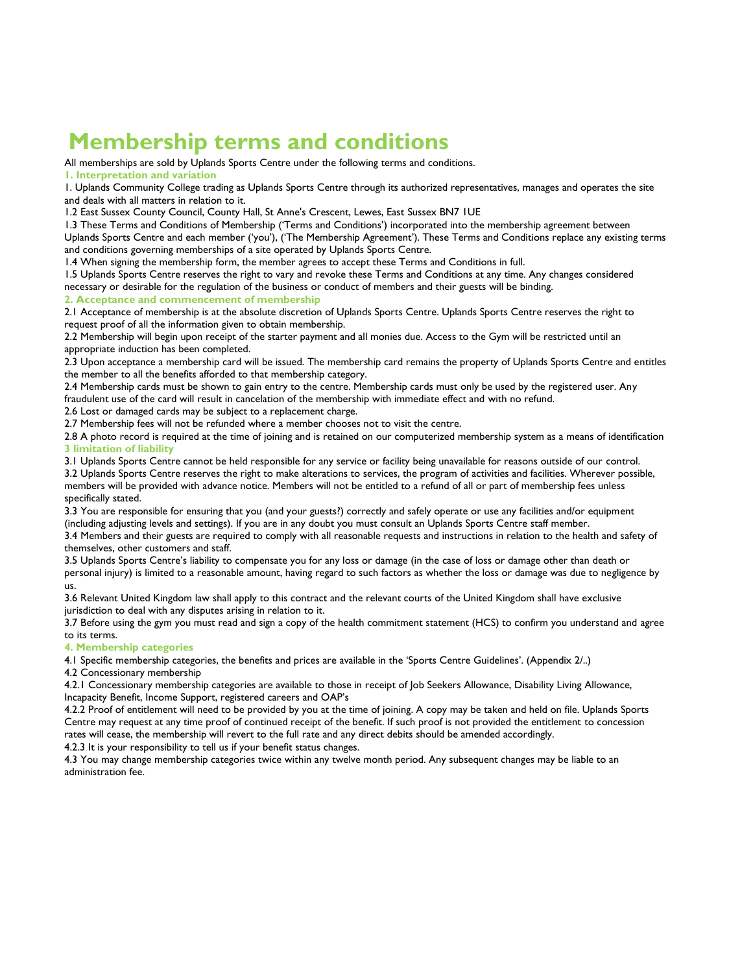# **Membership terms and conditions**

All memberships are sold by Uplands Sports Centre under the following terms and conditions.

**1. Interpretation and variation** 

1. Uplands Community College trading as Uplands Sports Centre through its authorized representatives, manages and operates the site and deals with all matters in relation to it.

1.2 East Sussex County Council, County Hall, St Anne's Crescent, Lewes, East Sussex BN7 1UE

1.3 These Terms and Conditions of Membership ('Terms and Conditions') incorporated into the membership agreement between Uplands Sports Centre and each member ('you'), ('The Membership Agreement'). These Terms and Conditions replace any existing terms and conditions governing memberships of a site operated by Uplands Sports Centre.

1.4 When signing the membership form, the member agrees to accept these Terms and Conditions in full.

1.5 Uplands Sports Centre reserves the right to vary and revoke these Terms and Conditions at any time. Any changes considered necessary or desirable for the regulation of the business or conduct of members and their guests will be binding.

**2. Acceptance and commencement of membership** 

2.1 Acceptance of membership is at the absolute discretion of Uplands Sports Centre. Uplands Sports Centre reserves the right to request proof of all the information given to obtain membership.

2.2 Membership will begin upon receipt of the starter payment and all monies due. Access to the Gym will be restricted until an appropriate induction has been completed.

2.3 Upon acceptance a membership card will be issued. The membership card remains the property of Uplands Sports Centre and entitles the member to all the benefits afforded to that membership category.

2.4 Membership cards must be shown to gain entry to the centre. Membership cards must only be used by the registered user. Any fraudulent use of the card will result in cancelation of the membership with immediate effect and with no refund.

2.6 Lost or damaged cards may be subject to a replacement charge.

2.7 Membership fees will not be refunded where a member chooses not to visit the centre.

2.8 A photo record is required at the time of joining and is retained on our computerized membership system as a means of identification **3 limitation of liability** 

3.1 Uplands Sports Centre cannot be held responsible for any service or facility being unavailable for reasons outside of our control.

3.2 Uplands Sports Centre reserves the right to make alterations to services, the program of activities and facilities. Wherever possible, members will be provided with advance notice. Members will not be entitled to a refund of all or part of membership fees unless specifically stated.

3.3 You are responsible for ensuring that you (and your guests?) correctly and safely operate or use any facilities and/or equipment (including adjusting levels and settings). If you are in any doubt you must consult an Uplands Sports Centre staff member.

3.4 Members and their guests are required to comply with all reasonable requests and instructions in relation to the health and safety of themselves, other customers and staff.

3.5 Uplands Sports Centre's liability to compensate you for any loss or damage (in the case of loss or damage other than death or personal injury) is limited to a reasonable amount, having regard to such factors as whether the loss or damage was due to negligence by us.

3.6 Relevant United Kingdom law shall apply to this contract and the relevant courts of the United Kingdom shall have exclusive jurisdiction to deal with any disputes arising in relation to it.

3.7 Before using the gym you must read and sign a copy of the health commitment statement (HCS) to confirm you understand and agree to its terms.

#### **4. Membership categories**

4.1 Specific membership categories, the benefits and prices are available in the 'Sports Centre Guidelines'. (Appendix 2/..)

4.2 Concessionary membership

4.2.1 Concessionary membership categories are available to those in receipt of Job Seekers Allowance, Disability Living Allowance, Incapacity Benefit, Income Support, registered careers and OAP's

4.2.2 Proof of entitlement will need to be provided by you at the time of joining. A copy may be taken and held on file. Uplands Sports Centre may request at any time proof of continued receipt of the benefit. If such proof is not provided the entitlement to concession rates will cease, the membership will revert to the full rate and any direct debits should be amended accordingly.

4.2.3 It is your responsibility to tell us if your benefit status changes.

4.3 You may change membership categories twice within any twelve month period. Any subsequent changes may be liable to an administration fee.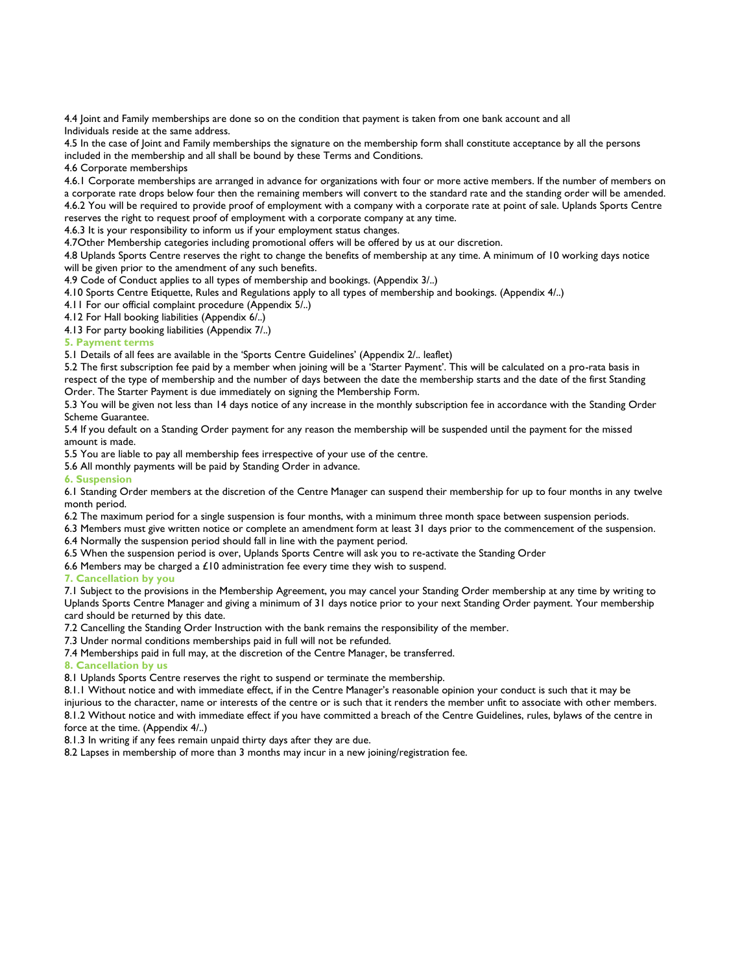4.4 Joint and Family memberships are done so on the condition that payment is taken from one bank account and all Individuals reside at the same address.

4.5 In the case of Joint and Family memberships the signature on the membership form shall constitute acceptance by all the persons included in the membership and all shall be bound by these Terms and Conditions.

4.6 Corporate memberships

4.6.1 Corporate memberships are arranged in advance for organizations with four or more active members. If the number of members on a corporate rate drops below four then the remaining members will convert to the standard rate and the standing order will be amended. 4.6.2 You will be required to provide proof of employment with a company with a corporate rate at point of sale. Uplands Sports Centre reserves the right to request proof of employment with a corporate company at any time.

4.6.3 It is your responsibility to inform us if your employment status changes.

4.7Other Membership categories including promotional offers will be offered by us at our discretion.

4.8 Uplands Sports Centre reserves the right to change the benefits of membership at any time. A minimum of 10 working days notice will be given prior to the amendment of any such benefits.

4.9 Code of Conduct applies to all types of membership and bookings. (Appendix 3/..)

4.10 Sports Centre Etiquette, Rules and Regulations apply to all types of membership and bookings. (Appendix 4/..)

4.11 For our official complaint procedure (Appendix 5/..)

4.12 For Hall booking liabilities (Appendix 6/..)

4.13 For party booking liabilities (Appendix 7/..)

### **5. Payment terms**

5.1 Details of all fees are available in the 'Sports Centre Guidelines' (Appendix 2/.. leaflet)

5.2 The first subscription fee paid by a member when joining will be a 'Starter Payment'. This will be calculated on a pro-rata basis in respect of the type of membership and the number of days between the date the membership starts and the date of the first Standing Order. The Starter Payment is due immediately on signing the Membership Form.

5.3 You will be given not less than 14 days notice of any increase in the monthly subscription fee in accordance with the Standing Order Scheme Guarantee.

5.4 If you default on a Standing Order payment for any reason the membership will be suspended until the payment for the missed amount is made.

5.5 You are liable to pay all membership fees irrespective of your use of the centre.

5.6 All monthly payments will be paid by Standing Order in advance.

**6. Suspension** 

6.1 Standing Order members at the discretion of the Centre Manager can suspend their membership for up to four months in any twelve month period.

6.2 The maximum period for a single suspension is four months, with a minimum three month space between suspension periods.

6.3 Members must give written notice or complete an amendment form at least 31 days prior to the commencement of the suspension. 6.4 Normally the suspension period should fall in line with the payment period.

6.5 When the suspension period is over, Uplands Sports Centre will ask you to re-activate the Standing Order

6.6 Members may be charged a  $£10$  administration fee every time they wish to suspend.

**7. Cancellation by you** 

7.1 Subject to the provisions in the Membership Agreement, you may cancel your Standing Order membership at any time by writing to Uplands Sports Centre Manager and giving a minimum of 31 days notice prior to your next Standing Order payment. Your membership card should be returned by this date.

7.2 Cancelling the Standing Order Instruction with the bank remains the responsibility of the member.

7.3 Under normal conditions memberships paid in full will not be refunded.

7.4 Memberships paid in full may, at the discretion of the Centre Manager, be transferred.

**8. Cancellation by us** 

8.1 Uplands Sports Centre reserves the right to suspend or terminate the membership.

8.1.1 Without notice and with immediate effect, if in the Centre Manager's reasonable opinion your conduct is such that it may be

injurious to the character, name or interests of the centre or is such that it renders the member unfit to associate with other members. 8.1.2 Without notice and with immediate effect if you have committed a breach of the Centre Guidelines, rules, bylaws of the centre in

force at the time. (Appendix 4/..)

8.1.3 In writing if any fees remain unpaid thirty days after they are due.

8.2 Lapses in membership of more than 3 months may incur in a new joining/registration fee.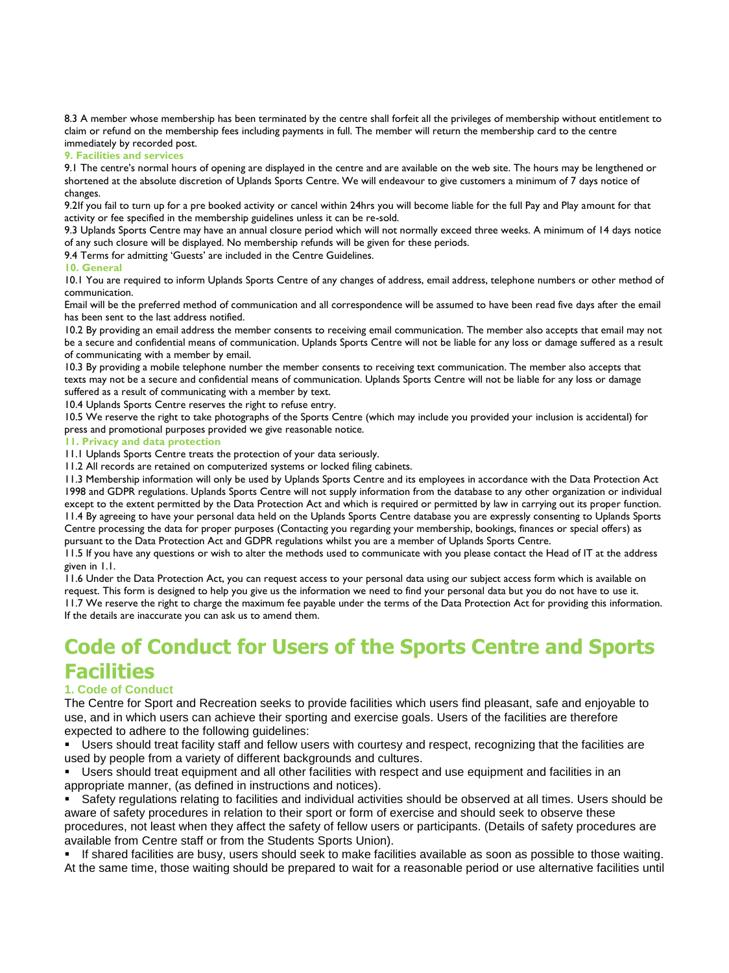8.3 A member whose membership has been terminated by the centre shall forfeit all the privileges of membership without entitlement to claim or refund on the membership fees including payments in full. The member will return the membership card to the centre immediately by recorded post.

#### **9. Facilities and services**

9.1 The centre's normal hours of opening are displayed in the centre and are available on the web site. The hours may be lengthened or shortened at the absolute discretion of Uplands Sports Centre. We will endeavour to give customers a minimum of 7 days notice of changes.

9.2If you fail to turn up for a pre booked activity or cancel within 24hrs you will become liable for the full Pay and Play amount for that activity or fee specified in the membership guidelines unless it can be re-sold.

9.3 Uplands Sports Centre may have an annual closure period which will not normally exceed three weeks. A minimum of 14 days notice of any such closure will be displayed. No membership refunds will be given for these periods.

9.4 Terms for admitting 'Guests' are included in the Centre Guidelines.

#### **10. General**

10.1 You are required to inform Uplands Sports Centre of any changes of address, email address, telephone numbers or other method of communication.

Email will be the preferred method of communication and all correspondence will be assumed to have been read five days after the email has been sent to the last address notified.

10.2 By providing an email address the member consents to receiving email communication. The member also accepts that email may not be a secure and confidential means of communication. Uplands Sports Centre will not be liable for any loss or damage suffered as a result of communicating with a member by email.

10.3 By providing a mobile telephone number the member consents to receiving text communication. The member also accepts that texts may not be a secure and confidential means of communication. Uplands Sports Centre will not be liable for any loss or damage suffered as a result of communicating with a member by text.

10.4 Uplands Sports Centre reserves the right to refuse entry.

10.5 We reserve the right to take photographs of the Sports Centre (which may include you provided your inclusion is accidental) for press and promotional purposes provided we give reasonable notice.

#### **11. Privacy and data protection**

11.1 Uplands Sports Centre treats the protection of your data seriously.

11.2 All records are retained on computerized systems or locked filing cabinets.

11.3 Membership information will only be used by Uplands Sports Centre and its employees in accordance with the Data Protection Act 1998 and GDPR regulations. Uplands Sports Centre will not supply information from the database to any other organization or individual except to the extent permitted by the Data Protection Act and which is required or permitted by law in carrying out its proper function. 11.4 By agreeing to have your personal data held on the Uplands Sports Centre database you are expressly consenting to Uplands Sports Centre processing the data for proper purposes (Contacting you regarding your membership, bookings, finances or special offers) as pursuant to the Data Protection Act and GDPR regulations whilst you are a member of Uplands Sports Centre.

11.5 If you have any questions or wish to alter the methods used to communicate with you please contact the Head of IT at the address given in 1.1.

11.6 Under the Data Protection Act, you can request access to your personal data using our subject access form which is available on request. This form is designed to help you give us the information we need to find your personal data but you do not have to use it. 11.7 We reserve the right to charge the maximum fee payable under the terms of the Data Protection Act for providing this information. If the details are inaccurate you can ask us to amend them.

# **Code of Conduct for Users of the Sports Centre and Sports Facilities**

### **1. Code of Conduct**

The Centre for Sport and Recreation seeks to provide facilities which users find pleasant, safe and enjoyable to use, and in which users can achieve their sporting and exercise goals. Users of the facilities are therefore expected to adhere to the following guidelines:

Users should treat facility staff and fellow users with courtesy and respect, recognizing that the facilities are used by people from a variety of different backgrounds and cultures.

Users should treat equipment and all other facilities with respect and use equipment and facilities in an appropriate manner, (as defined in instructions and notices).

Safety regulations relating to facilities and individual activities should be observed at all times. Users should be aware of safety procedures in relation to their sport or form of exercise and should seek to observe these procedures, not least when they affect the safety of fellow users or participants. (Details of safety procedures are available from Centre staff or from the Students Sports Union).

If shared facilities are busy, users should seek to make facilities available as soon as possible to those waiting. At the same time, those waiting should be prepared to wait for a reasonable period or use alternative facilities until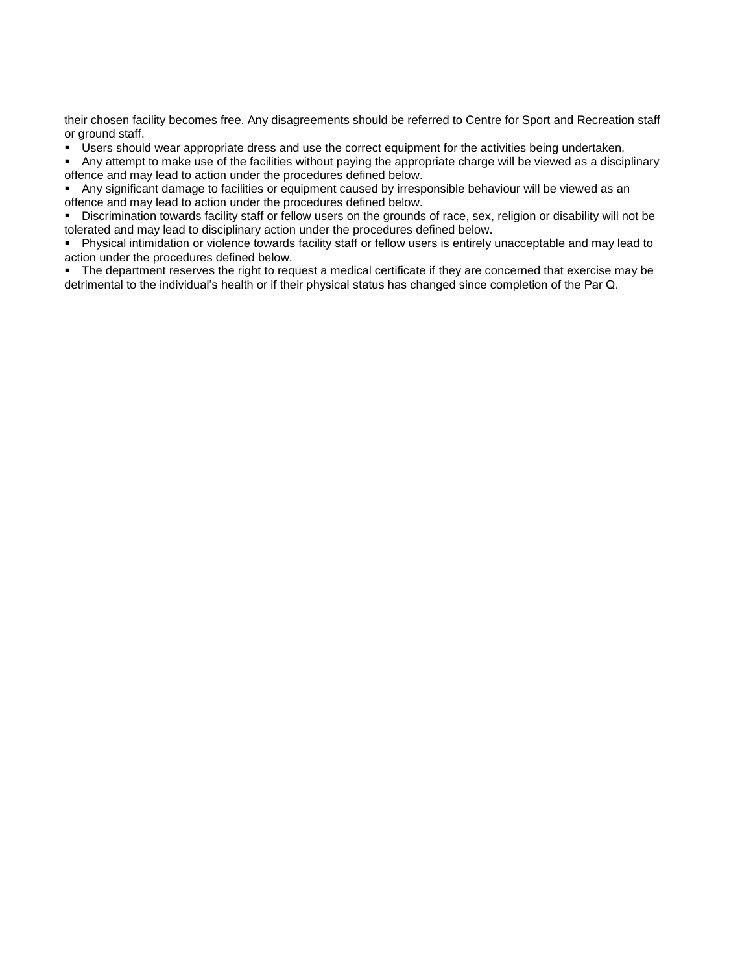their chosen facility becomes free. Any disagreements should be referred to Centre for Sport and Recreation staff or ground staff.

Users should wear appropriate dress and use the correct equipment for the activities being undertaken.

Any attempt to make use of the facilities without paying the appropriate charge will be viewed as a disciplinary offence and may lead to action under the procedures defined below.

Any significant damage to facilities or equipment caused by irresponsible behaviour will be viewed as an offence and may lead to action under the procedures defined below.

Discrimination towards facility staff or fellow users on the grounds of race, sex, religion or disability will not be tolerated and may lead to disciplinary action under the procedures defined below.

Physical intimidation or violence towards facility staff or fellow users is entirely unacceptable and may lead to action under the procedures defined below.

The department reserves the right to request a medical certificate if they are concerned that exercise may be detrimental to the individual's health or if their physical status has changed since completion of the Par Q.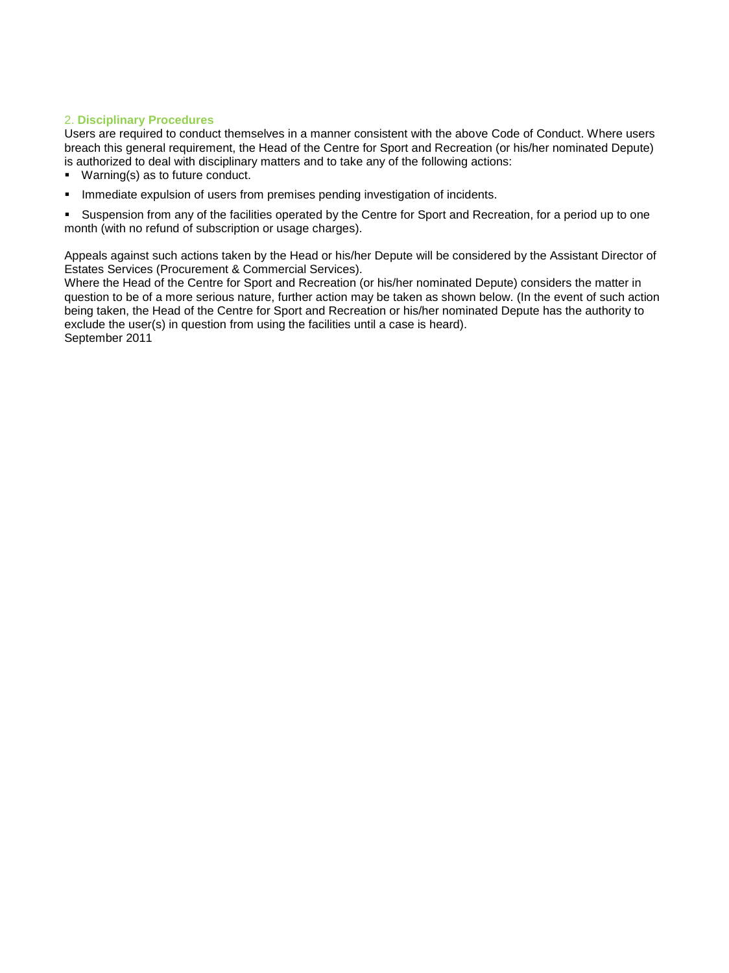### 2. **Disciplinary Procedures**

Users are required to conduct themselves in a manner consistent with the above Code of Conduct. Where users breach this general requirement, the Head of the Centre for Sport and Recreation (or his/her nominated Depute) is authorized to deal with disciplinary matters and to take any of the following actions:

- Warning(s) as to future conduct.
- Immediate expulsion of users from premises pending investigation of incidents.

Suspension from any of the facilities operated by the Centre for Sport and Recreation, for a period up to one month (with no refund of subscription or usage charges).

Appeals against such actions taken by the Head or his/her Depute will be considered by the Assistant Director of Estates Services (Procurement & Commercial Services).

Where the Head of the Centre for Sport and Recreation (or his/her nominated Depute) considers the matter in question to be of a more serious nature, further action may be taken as shown below. (In the event of such action being taken, the Head of the Centre for Sport and Recreation or his/her nominated Depute has the authority to exclude the user(s) in question from using the facilities until a case is heard). September 2011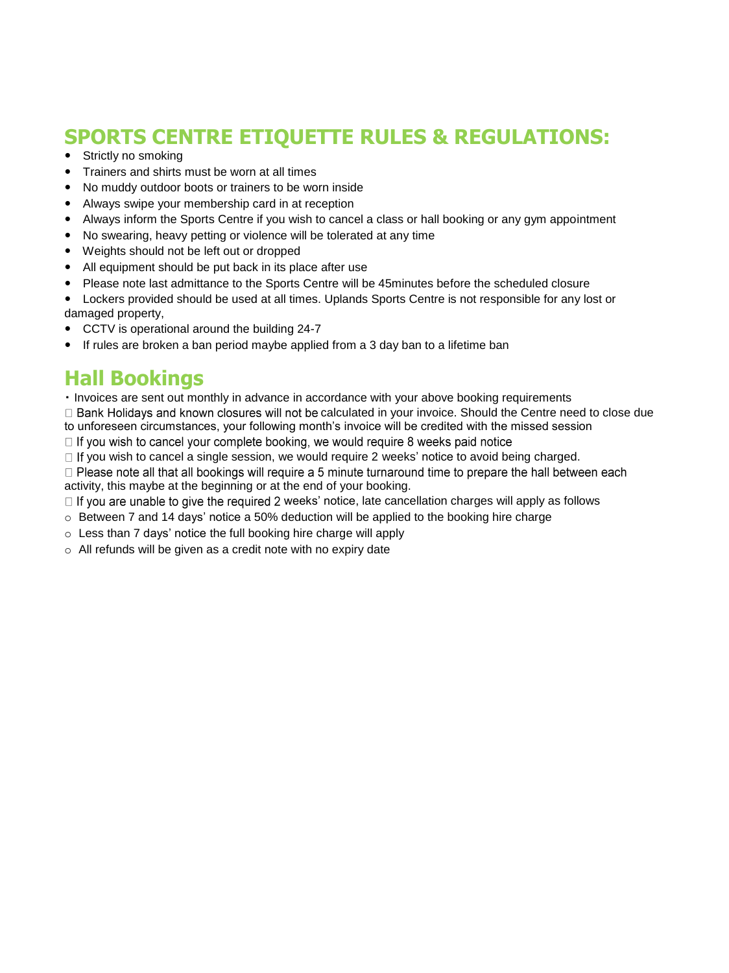# **SPORTS CENTRE ETIQUETTE RULES & REGULATIONS:**

- Strictly no smoking
- Trainers and shirts must be worn at all times
- No muddy outdoor boots or trainers to be worn inside
- Always swipe your membership card in at reception
- Always inform the Sports Centre if you wish to cancel a class or hall booking or any gym appointment
- No swearing, heavy petting or violence will be tolerated at any time
- Weights should not be left out or dropped
- All equipment should be put back in its place after use
- Please note last admittance to the Sports Centre will be 45minutes before the scheduled closure
- Lockers provided should be used at all times. Uplands Sports Centre is not responsible for any lost or damaged property,
- CCTV is operational around the building 24-7
- If rules are broken a ban period maybe applied from a 3 day ban to a lifetime ban

### **Hall Bookings**

Invoices are sent out monthly in advance in accordance with your above booking requirements

 $\Box$  Bank Holidays and known closures will not be calculated in your invoice. Should the Centre need to close due to unforeseen circumstances, your following month's invoice will be credited with the missed session

□ If you wish to cancel your complete booking, we would require 8 weeks paid notice

 $\Box$  If you wish to cancel a single session, we would require 2 weeks' notice to avoid being charged.

□ Please note all that all bookings will require a 5 minute turnaround time to prepare the hall between each activity, this maybe at the beginning or at the end of your booking.

 $\Box$  If you are unable to give the required 2 weeks' notice, late cancellation charges will apply as follows

- $\circ$  Between 7 and 14 days' notice a 50% deduction will be applied to the booking hire charge
- o Less than 7 days' notice the full booking hire charge will apply
- o All refunds will be given as a credit note with no expiry date